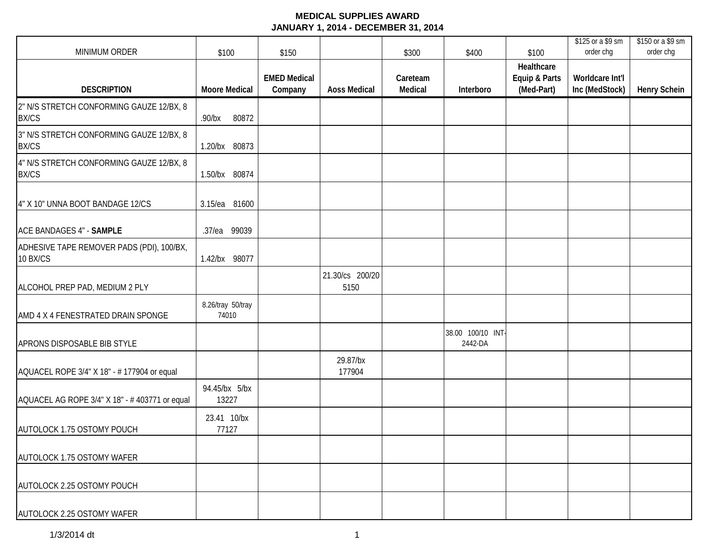| <b>MINIMUM ORDER</b>                                     | \$100                      | \$150                          |                         | \$300               | \$400                       | \$100                                     | \$125 or a \$9 sm<br>order chg    | \$150 or a \$9 sm<br>order chg |
|----------------------------------------------------------|----------------------------|--------------------------------|-------------------------|---------------------|-----------------------------|-------------------------------------------|-----------------------------------|--------------------------------|
| <b>DESCRIPTION</b>                                       | <b>Moore Medical</b>       | <b>EMED Medical</b><br>Company | <b>Aoss Medical</b>     | Careteam<br>Medical | Interboro                   | Healthcare<br>Equip & Parts<br>(Med-Part) | Worldcare Int'l<br>Inc (MedStock) | <b>Henry Schein</b>            |
| 2" N/S STRETCH CONFORMING GAUZE 12/BX, 8<br><b>BX/CS</b> | 80872<br>$.90$ /bx         |                                |                         |                     |                             |                                           |                                   |                                |
| 3" N/S STRETCH CONFORMING GAUZE 12/BX, 8<br><b>BX/CS</b> | 1.20/bx 80873              |                                |                         |                     |                             |                                           |                                   |                                |
| 4" N/S STRETCH CONFORMING GAUZE 12/BX, 8<br><b>BX/CS</b> | 1.50/bx 80874              |                                |                         |                     |                             |                                           |                                   |                                |
| 4" X 10" UNNA BOOT BANDAGE 12/CS                         | 3.15/ea 81600              |                                |                         |                     |                             |                                           |                                   |                                |
| ACE BANDAGES 4" - SAMPLE                                 | .37/ea 99039               |                                |                         |                     |                             |                                           |                                   |                                |
| ADHESIVE TAPE REMOVER PADS (PDI), 100/BX,<br>10 BX/CS    | 1.42/bx 98077              |                                |                         |                     |                             |                                           |                                   |                                |
| ALCOHOL PREP PAD, MEDIUM 2 PLY                           |                            |                                | 21.30/cs 200/20<br>5150 |                     |                             |                                           |                                   |                                |
| AMD 4 X 4 FENESTRATED DRAIN SPONGE                       | 8.26/tray 50/tray<br>74010 |                                |                         |                     |                             |                                           |                                   |                                |
| APRONS DISPOSABLE BIB STYLE                              |                            |                                |                         |                     | 38.00 100/10 INT<br>2442-DA |                                           |                                   |                                |
| AQUACEL ROPE 3/4" X 18" - # 177904 or equal              |                            |                                | 29.87/bx<br>177904      |                     |                             |                                           |                                   |                                |
| AQUACEL AG ROPE 3/4" X 18" - # 403771 or equal           | 94.45/bx 5/bx<br>13227     |                                |                         |                     |                             |                                           |                                   |                                |
| AUTOLOCK 1.75 OSTOMY POUCH                               | 23.41 10/bx<br>77127       |                                |                         |                     |                             |                                           |                                   |                                |
| AUTOLOCK 1.75 OSTOMY WAFER                               |                            |                                |                         |                     |                             |                                           |                                   |                                |
| AUTOLOCK 2.25 OSTOMY POUCH                               |                            |                                |                         |                     |                             |                                           |                                   |                                |
| AUTOLOCK 2.25 OSTOMY WAFER                               |                            |                                |                         |                     |                             |                                           |                                   |                                |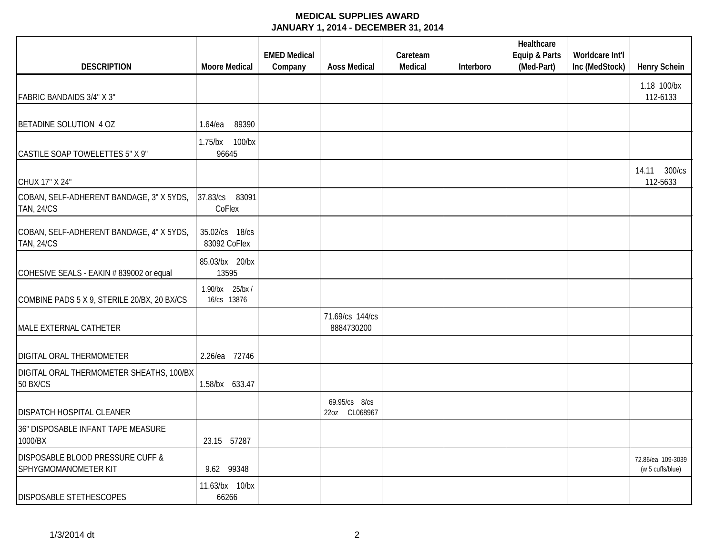|                                                               |                                | <b>EMED Medical</b> |                                | Careteam |           | Healthcare<br>Equip & Parts | Worldcare Int'l |                                       |
|---------------------------------------------------------------|--------------------------------|---------------------|--------------------------------|----------|-----------|-----------------------------|-----------------|---------------------------------------|
| <b>DESCRIPTION</b>                                            | <b>Moore Medical</b>           | Company             | <b>Aoss Medical</b>            | Medical  | Interboro | (Med-Part)                  | Inc (MedStock)  | <b>Henry Schein</b>                   |
| FABRIC BANDAIDS 3/4" X 3"                                     |                                |                     |                                |          |           |                             |                 | 1.18 100/bx<br>112-6133               |
| BETADINE SOLUTION 4 OZ                                        | 89390<br>$1.64$ /ea            |                     |                                |          |           |                             |                 |                                       |
| CASTILE SOAP TOWELETTES 5" X 9"                               | 1.75/bx 100/bx<br>96645        |                     |                                |          |           |                             |                 |                                       |
| CHUX 17" X 24"                                                |                                |                     |                                |          |           |                             |                 | 300/cs<br>14.11<br>112-5633           |
| COBAN, SELF-ADHERENT BANDAGE, 3" X 5YDS,<br><b>TAN, 24/CS</b> | 37.83/cs 83091<br>CoFlex       |                     |                                |          |           |                             |                 |                                       |
| COBAN, SELF-ADHERENT BANDAGE, 4" X 5YDS,<br><b>TAN, 24/CS</b> | 35.02/cs 18/cs<br>83092 CoFlex |                     |                                |          |           |                             |                 |                                       |
| COHESIVE SEALS - EAKIN # 839002 or equal                      | 85.03/bx 20/bx<br>13595        |                     |                                |          |           |                             |                 |                                       |
| COMBINE PADS 5 X 9, STERILE 20/BX, 20 BX/CS                   | 1.90/bx 25/bx/<br>16/cs 13876  |                     |                                |          |           |                             |                 |                                       |
| MALE EXTERNAL CATHETER                                        |                                |                     | 71.69/cs 144/cs<br>8884730200  |          |           |                             |                 |                                       |
| DIGITAL ORAL THERMOMETER                                      | 2.26/ea 72746                  |                     |                                |          |           |                             |                 |                                       |
| DIGITAL ORAL THERMOMETER SHEATHS, 100/BX<br><b>50 BX/CS</b>   | 1.58/bx 633.47                 |                     |                                |          |           |                             |                 |                                       |
| DISPATCH HOSPITAL CLEANER                                     |                                |                     | 69.95/cs 8/cs<br>22oz CL068967 |          |           |                             |                 |                                       |
| 36" DISPOSABLE INFANT TAPE MEASURE<br>1000/BX                 | 23.15 57287                    |                     |                                |          |           |                             |                 |                                       |
| DISPOSABLE BLOOD PRESSURE CUFF &<br>SPHYGMOMANOMETER KIT      | 9.62 99348                     |                     |                                |          |           |                             |                 | 72.86/ea 109-3039<br>(w 5 cuffs/blue) |
| DISPOSABLE STETHESCOPES                                       | 11.63/bx 10/bx<br>66266        |                     |                                |          |           |                             |                 |                                       |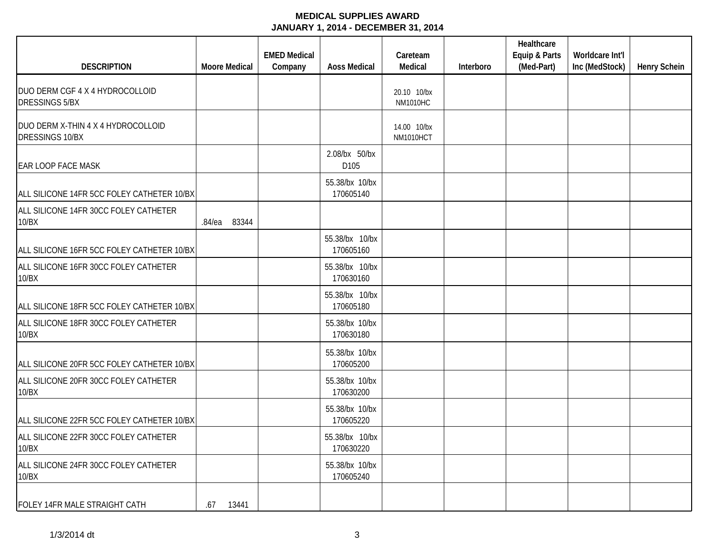| <b>DESCRIPTION</b>                                       | <b>Moore Medical</b> | <b>EMED Medical</b><br>Company | <b>Aoss Medical</b>         | Careteam<br>Medical            | Interboro | Healthcare<br>Equip & Parts<br>(Med-Part) | Worldcare Int'l<br>Inc (MedStock) | <b>Henry Schein</b> |
|----------------------------------------------------------|----------------------|--------------------------------|-----------------------------|--------------------------------|-----------|-------------------------------------------|-----------------------------------|---------------------|
| DUO DERM CGF 4 X 4 HYDROCOLLOID<br><b>DRESSINGS 5/BX</b> |                      |                                |                             | 20.10 10/bx<br><b>NM1010HC</b> |           |                                           |                                   |                     |
| DUO DERM X-THIN 4 X 4 HYDROCOLLOID<br>DRESSINGS 10/BX    |                      |                                |                             | 14.00 10/bx<br>NM1010HCT       |           |                                           |                                   |                     |
| <b>EAR LOOP FACE MASK</b>                                |                      |                                | 2.08/bx 50/bx<br>D105       |                                |           |                                           |                                   |                     |
| ALL SILICONE 14FR 5CC FOLEY CATHETER 10/BX               |                      |                                | 55.38/bx 10/bx<br>170605140 |                                |           |                                           |                                   |                     |
| ALL SILICONE 14FR 30CC FOLEY CATHETER<br>10/BX           | 83344<br>$.84$ /ea   |                                |                             |                                |           |                                           |                                   |                     |
| ALL SILICONE 16FR 5CC FOLEY CATHETER 10/BX               |                      |                                | 55.38/bx 10/bx<br>170605160 |                                |           |                                           |                                   |                     |
| ALL SILICONE 16FR 30CC FOLEY CATHETER<br>10/BX           |                      |                                | 55.38/bx 10/bx<br>170630160 |                                |           |                                           |                                   |                     |
| ALL SILICONE 18FR 5CC FOLEY CATHETER 10/BX               |                      |                                | 55.38/bx 10/bx<br>170605180 |                                |           |                                           |                                   |                     |
| ALL SILICONE 18FR 30CC FOLEY CATHETER<br>10/BX           |                      |                                | 55.38/bx 10/bx<br>170630180 |                                |           |                                           |                                   |                     |
| ALL SILICONE 20FR 5CC FOLEY CATHETER 10/BX               |                      |                                | 55.38/bx 10/bx<br>170605200 |                                |           |                                           |                                   |                     |
| ALL SILICONE 20FR 30CC FOLEY CATHETER<br>10/BX           |                      |                                | 55.38/bx 10/bx<br>170630200 |                                |           |                                           |                                   |                     |
| ALL SILICONE 22FR 5CC FOLEY CATHETER 10/BX               |                      |                                | 55.38/bx 10/bx<br>170605220 |                                |           |                                           |                                   |                     |
| ALL SILICONE 22FR 30CC FOLEY CATHETER<br>10/BX           |                      |                                | 55.38/bx 10/bx<br>170630220 |                                |           |                                           |                                   |                     |
| ALL SILICONE 24FR 30CC FOLEY CATHETER<br>10/BX           |                      |                                | 55.38/bx 10/bx<br>170605240 |                                |           |                                           |                                   |                     |
| FOLEY 14FR MALE STRAIGHT CATH                            | 13441<br>.67         |                                |                             |                                |           |                                           |                                   |                     |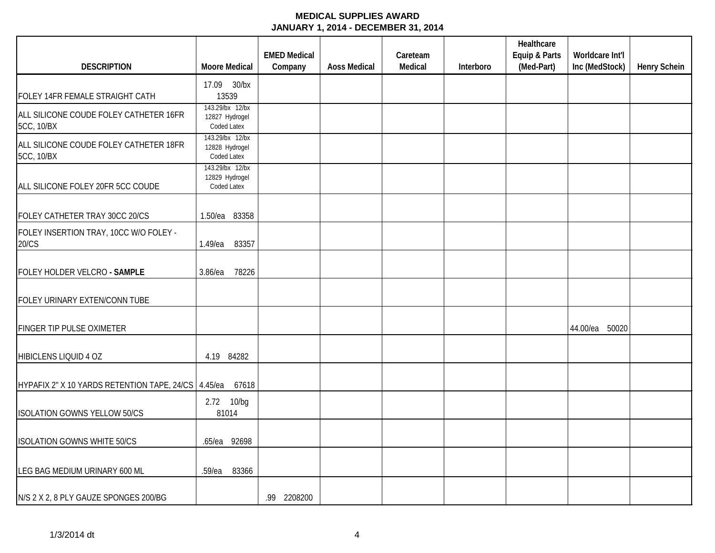|                                                       |                                                  | <b>EMED Medical</b> |                     | Careteam |           | Healthcare<br>Equip & Parts | Worldcare Int'l |                     |
|-------------------------------------------------------|--------------------------------------------------|---------------------|---------------------|----------|-----------|-----------------------------|-----------------|---------------------|
| <b>DESCRIPTION</b>                                    | <b>Moore Medical</b>                             | Company             | <b>Aoss Medical</b> | Medical  | Interboro | (Med-Part)                  | Inc (MedStock)  | <b>Henry Schein</b> |
|                                                       | 17.09 30/bx                                      |                     |                     |          |           |                             |                 |                     |
| FOLEY 14FR FEMALE STRAIGHT CATH                       | 13539                                            |                     |                     |          |           |                             |                 |                     |
| ALL SILICONE COUDE FOLEY CATHETER 16FR<br>5CC, 10/BX  | 143.29/bx 12/bx<br>12827 Hydrogel<br>Coded Latex |                     |                     |          |           |                             |                 |                     |
| ALL SILICONE COUDE FOLEY CATHETER 18FR<br>5CC, 10/BX  | 143.29/bx 12/bx<br>12828 Hydrogel<br>Coded Latex |                     |                     |          |           |                             |                 |                     |
| ALL SILICONE FOLEY 20FR 5CC COUDE                     | 143.29/bx 12/bx<br>12829 Hydrogel<br>Coded Latex |                     |                     |          |           |                             |                 |                     |
| FOLEY CATHETER TRAY 30CC 20/CS                        | 1.50/ea 83358                                    |                     |                     |          |           |                             |                 |                     |
| FOLEY INSERTION TRAY, 10CC W/O FOLEY -<br>20/CS       | 83357<br>$1.49$ /ea                              |                     |                     |          |           |                             |                 |                     |
| FOLEY HOLDER VELCRO - SAMPLE                          | $3.86$ /ea<br>78226                              |                     |                     |          |           |                             |                 |                     |
| FOLEY URINARY EXTEN/CONN TUBE                         |                                                  |                     |                     |          |           |                             |                 |                     |
| <b>FINGER TIP PULSE OXIMETER</b>                      |                                                  |                     |                     |          |           |                             | 44.00/ea 50020  |                     |
| HIBICLENS LIQUID 4 OZ                                 | 4.19 84282                                       |                     |                     |          |           |                             |                 |                     |
| HYPAFIX 2" X 10 YARDS RETENTION TAPE, 24/CS   4.45/ea | 67618                                            |                     |                     |          |           |                             |                 |                     |
| <b>ISOLATION GOWNS YELLOW 50/CS</b>                   | 2.72 10/bg<br>81014                              |                     |                     |          |           |                             |                 |                     |
| <b>ISOLATION GOWNS WHITE 50/CS</b>                    | .65/ea 92698                                     |                     |                     |          |           |                             |                 |                     |
| LEG BAG MEDIUM URINARY 600 ML                         | 83366<br>$.59$ /ea                               |                     |                     |          |           |                             |                 |                     |
| N/S 2 X 2, 8 PLY GAUZE SPONGES 200/BG                 |                                                  | .99 2208200         |                     |          |           |                             |                 |                     |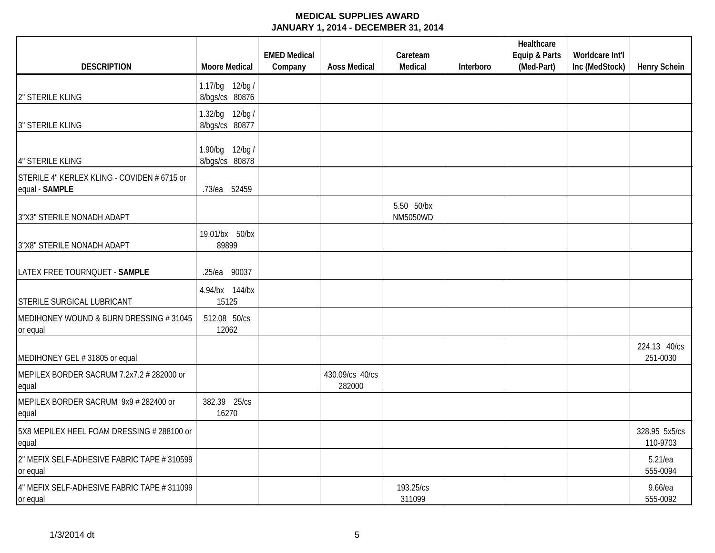| <b>DESCRIPTION</b>                                            | <b>Moore Medical</b>              | <b>EMED Medical</b><br>Company | <b>Aoss Medical</b>       | Careteam<br>Medical           | Interboro | Healthcare<br>Equip & Parts<br>(Med-Part) | Worldcare Int'l<br>Inc (MedStock) | <b>Henry Schein</b>       |
|---------------------------------------------------------------|-----------------------------------|--------------------------------|---------------------------|-------------------------------|-----------|-------------------------------------------|-----------------------------------|---------------------------|
|                                                               | 1.17/bg 12/bg /                   |                                |                           |                               |           |                                           |                                   |                           |
| 2" STERILE KLING                                              | 8/bgs/cs 80876                    |                                |                           |                               |           |                                           |                                   |                           |
| <b>3" STERILE KLING</b>                                       | 1.32/bg 12/bg /<br>8/bgs/cs 80877 |                                |                           |                               |           |                                           |                                   |                           |
| <b>4" STERILE KLING</b>                                       | 1.90/bg 12/bg /<br>8/bgs/cs 80878 |                                |                           |                               |           |                                           |                                   |                           |
| STERILE 4" KERLEX KLING - COVIDEN # 6715 or<br>equal - SAMPLE | .73/ea 52459                      |                                |                           |                               |           |                                           |                                   |                           |
| 3"X3" STERILE NONADH ADAPT                                    |                                   |                                |                           | 5.50 50/bx<br><b>NM5050WD</b> |           |                                           |                                   |                           |
| 3"X8" STERILE NONADH ADAPT                                    | 19.01/bx 50/bx<br>89899           |                                |                           |                               |           |                                           |                                   |                           |
| LATEX FREE TOURNQUET - SAMPLE                                 | .25/ea 90037                      |                                |                           |                               |           |                                           |                                   |                           |
| <b>STERILE SURGICAL LUBRICANT</b>                             | 4.94/bx 144/bx<br>15125           |                                |                           |                               |           |                                           |                                   |                           |
| MEDIHONEY WOUND & BURN DRESSING #31045<br>or equal            | 512.08 50/cs<br>12062             |                                |                           |                               |           |                                           |                                   |                           |
| MEDIHONEY GEL # 31805 or equal                                |                                   |                                |                           |                               |           |                                           |                                   | 224.13 40/cs<br>251-0030  |
| MEPILEX BORDER SACRUM 7.2x7.2 # 282000 or<br>equal            |                                   |                                | 430.09/cs 40/cs<br>282000 |                               |           |                                           |                                   |                           |
| MEPILEX BORDER SACRUM 9x9 # 282400 or<br>equal                | 382.39 25/cs<br>16270             |                                |                           |                               |           |                                           |                                   |                           |
| 5X8 MEPILEX HEEL FOAM DRESSING # 288100 or<br>equal           |                                   |                                |                           |                               |           |                                           |                                   | 328.95 5x5/cs<br>110-9703 |
| 2" MEFIX SELF-ADHESIVE FABRIC TAPE # 310599<br>or equal       |                                   |                                |                           |                               |           |                                           |                                   | $5.21$ /ea<br>555-0094    |
| 4" MEFIX SELF-ADHESIVE FABRIC TAPE # 311099<br>or equal       |                                   |                                |                           | 193.25/cs<br>311099           |           |                                           |                                   | 9.66/ea<br>555-0092       |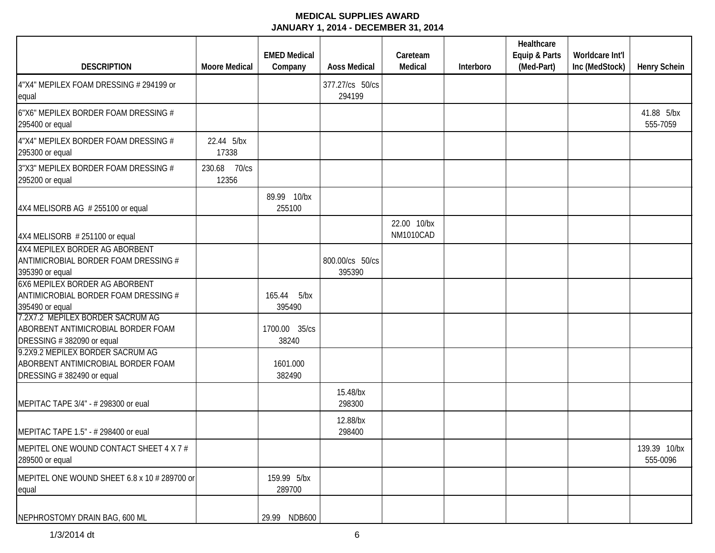|                                                                                                     |                          | <b>EMED Medical</b>      |                           | Careteam                 |           | Healthcare<br>Equip & Parts | Worldcare Int'l |                          |
|-----------------------------------------------------------------------------------------------------|--------------------------|--------------------------|---------------------------|--------------------------|-----------|-----------------------------|-----------------|--------------------------|
| <b>DESCRIPTION</b>                                                                                  | <b>Moore Medical</b>     | Company                  | <b>Aoss Medical</b>       | Medical                  | Interboro | (Med-Part)                  | Inc (MedStock)  | <b>Henry Schein</b>      |
| 4"X4" MEPILEX FOAM DRESSING # 294199 or<br>equal                                                    |                          |                          | 377.27/cs 50/cs<br>294199 |                          |           |                             |                 |                          |
| 6"X6" MEPILEX BORDER FOAM DRESSING #<br>295400 or equal                                             |                          |                          |                           |                          |           |                             |                 | 41.88 5/bx<br>555-7059   |
| 4"X4" MEPILEX BORDER FOAM DRESSING #<br>295300 or equal                                             | 22.44 5/bx<br>17338      |                          |                           |                          |           |                             |                 |                          |
| 3"X3" MEPILEX BORDER FOAM DRESSING #<br>295200 or equal                                             | 70/cs<br>230.68<br>12356 |                          |                           |                          |           |                             |                 |                          |
| 4X4 MELISORB AG # 255100 or equal                                                                   |                          | 89.99 10/bx<br>255100    |                           |                          |           |                             |                 |                          |
| $4X4$ MELISORB # 251100 or equal                                                                    |                          |                          |                           | 22.00 10/bx<br>NM1010CAD |           |                             |                 |                          |
| 4X4 MEPILEX BORDER AG ABORBENT<br>ANTIMICROBIAL BORDER FOAM DRESSING #<br>395390 or equal           |                          |                          | 800.00/cs 50/cs<br>395390 |                          |           |                             |                 |                          |
| 6X6 MEPILEX BORDER AG ABORBENT<br>ANTIMICROBIAL BORDER FOAM DRESSING #<br>395490 or equal           |                          | 165.44<br>5/bx<br>395490 |                           |                          |           |                             |                 |                          |
| 7.2X7.2 MEPILEX BORDER SACRUM AG<br>ABORBENT ANTIMICROBIAL BORDER FOAM<br>DRESSING #382090 or equal |                          | 1700.00 35/cs<br>38240   |                           |                          |           |                             |                 |                          |
| 9.2X9.2 MEPILEX BORDER SACRUM AG<br>ABORBENT ANTIMICROBIAL BORDER FOAM<br>DRESSING #382490 or equal |                          | 1601.000<br>382490       |                           |                          |           |                             |                 |                          |
| MEPITAC TAPE 3/4" - # 298300 or eual                                                                |                          |                          | 15.48/bx<br>298300        |                          |           |                             |                 |                          |
| MEPITAC TAPE 1.5" - # 298400 or eual                                                                |                          |                          | 12.88/bx<br>298400        |                          |           |                             |                 |                          |
| MEPITEL ONE WOUND CONTACT SHEET 4 X 7 #<br>289500 or equal                                          |                          |                          |                           |                          |           |                             |                 | 139.39 10/bx<br>555-0096 |
| MEPITEL ONE WOUND SHEET 6.8 x 10 # 289700 or<br>equal                                               |                          | 159.99 5/bx<br>289700    |                           |                          |           |                             |                 |                          |
| NEPHROSTOMY DRAIN BAG, 600 ML                                                                       |                          | 29.99 NDB600             |                           |                          |           |                             |                 |                          |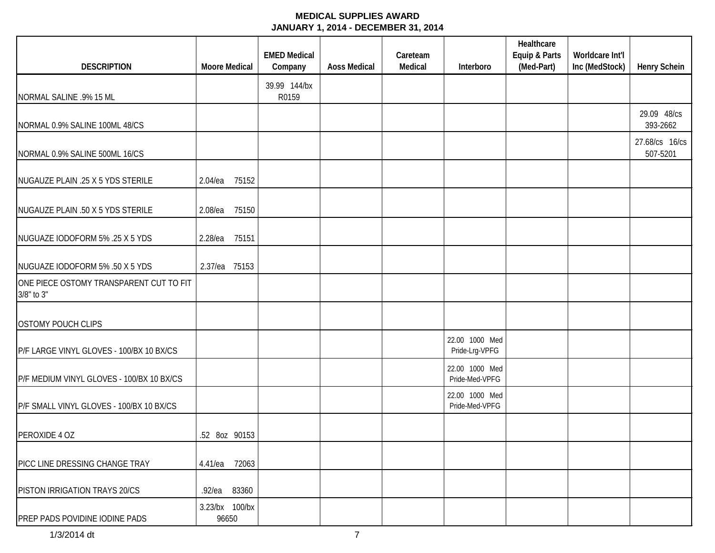| <b>DESCRIPTION</b>                                    | <b>Moore Medical</b>    | <b>EMED Medical</b><br>Company | <b>Aoss Medical</b> | Careteam<br>Medical | Interboro                        | Healthcare<br>Equip & Parts<br>(Med-Part) | Worldcare Int'l<br>Inc (MedStock) | <b>Henry Schein</b>        |
|-------------------------------------------------------|-------------------------|--------------------------------|---------------------|---------------------|----------------------------------|-------------------------------------------|-----------------------------------|----------------------------|
|                                                       |                         | 39.99 144/bx                   |                     |                     |                                  |                                           |                                   |                            |
| NORMAL SALINE .9% 15 ML                               |                         | R0159                          |                     |                     |                                  |                                           |                                   |                            |
| NORMAL 0.9% SALINE 100ML 48/CS                        |                         |                                |                     |                     |                                  |                                           |                                   | 29.09 48/cs<br>393-2662    |
| NORMAL 0.9% SALINE 500ML 16/CS                        |                         |                                |                     |                     |                                  |                                           |                                   | 27.68/cs 16/cs<br>507-5201 |
| NUGAUZE PLAIN .25 X 5 YDS STERILE                     | 75152<br>$2.04$ /ea     |                                |                     |                     |                                  |                                           |                                   |                            |
| NUGAUZE PLAIN .50 X 5 YDS STERILE                     | 2.08/ea<br>75150        |                                |                     |                     |                                  |                                           |                                   |                            |
| NUGUAZE IODOFORM 5% .25 X 5 YDS                       | 75151<br>2.28/ea        |                                |                     |                     |                                  |                                           |                                   |                            |
| NUGUAZE IODOFORM 5% .50 X 5 YDS                       | 2.37/ea 75153           |                                |                     |                     |                                  |                                           |                                   |                            |
| ONE PIECE OSTOMY TRANSPARENT CUT TO FIT<br>3/8" to 3" |                         |                                |                     |                     |                                  |                                           |                                   |                            |
| <b>OSTOMY POUCH CLIPS</b>                             |                         |                                |                     |                     |                                  |                                           |                                   |                            |
| P/F LARGE VINYL GLOVES - 100/BX 10 BX/CS              |                         |                                |                     |                     | 22.00 1000 Med<br>Pride-Lrg-VPFG |                                           |                                   |                            |
| P/F MEDIUM VINYL GLOVES - 100/BX 10 BX/CS             |                         |                                |                     |                     | 22.00 1000 Med<br>Pride-Med-VPFG |                                           |                                   |                            |
| P/F SMALL VINYL GLOVES - 100/BX 10 BX/CS              |                         |                                |                     |                     | 22.00 1000 Med<br>Pride-Med-VPFG |                                           |                                   |                            |
| PEROXIDE 4 OZ                                         | .52 8oz 90153           |                                |                     |                     |                                  |                                           |                                   |                            |
| PICC LINE DRESSING CHANGE TRAY                        | 4.41/ea 72063           |                                |                     |                     |                                  |                                           |                                   |                            |
| PISTON IRRIGATION TRAYS 20/CS                         | .92/ea<br>83360         |                                |                     |                     |                                  |                                           |                                   |                            |
| PREP PADS POVIDINE IODINE PADS                        | 3.23/bx 100/bx<br>96650 |                                |                     |                     |                                  |                                           |                                   |                            |
| 1/3/2014 dt                                           |                         |                                | $\overline{7}$      |                     |                                  |                                           |                                   |                            |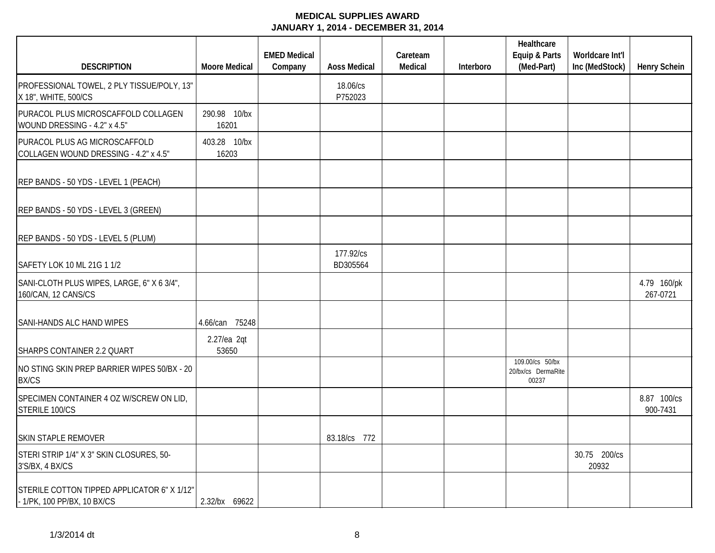|                                                                            |                       | <b>EMED Medical</b> |                       | Careteam |           | Healthcare<br>Equip & Parts                    | Worldcare Int'l       |                         |
|----------------------------------------------------------------------------|-----------------------|---------------------|-----------------------|----------|-----------|------------------------------------------------|-----------------------|-------------------------|
| <b>DESCRIPTION</b>                                                         | <b>Moore Medical</b>  | Company             | <b>Aoss Medical</b>   | Medical  | Interboro | (Med-Part)                                     | Inc (MedStock)        | <b>Henry Schein</b>     |
| PROFESSIONAL TOWEL, 2 PLY TISSUE/POLY, 13"<br>X 18", WHITE, 500/CS         |                       |                     | 18.06/cs<br>P752023   |          |           |                                                |                       |                         |
| PURACOL PLUS MICROSCAFFOLD COLLAGEN<br>WOUND DRESSING - 4.2" x 4.5"        | 290.98 10/bx<br>16201 |                     |                       |          |           |                                                |                       |                         |
| PURACOL PLUS AG MICROSCAFFOLD<br>COLLAGEN WOUND DRESSING - 4.2" x 4.5"     | 403.28 10/bx<br>16203 |                     |                       |          |           |                                                |                       |                         |
| REP BANDS - 50 YDS - LEVEL 1 (PEACH)                                       |                       |                     |                       |          |           |                                                |                       |                         |
| REP BANDS - 50 YDS - LEVEL 3 (GREEN)                                       |                       |                     |                       |          |           |                                                |                       |                         |
| REP BANDS - 50 YDS - LEVEL 5 (PLUM)                                        |                       |                     |                       |          |           |                                                |                       |                         |
| SAFETY LOK 10 ML 21G 1 1/2                                                 |                       |                     | 177.92/cs<br>BD305564 |          |           |                                                |                       |                         |
| SANI-CLOTH PLUS WIPES, LARGE, 6" X 6 3/4",<br>160/CAN, 12 CANS/CS          |                       |                     |                       |          |           |                                                |                       | 4.79 160/pk<br>267-0721 |
| SANI-HANDS ALC HAND WIPES                                                  | 4.66/can 75248        |                     |                       |          |           |                                                |                       |                         |
| SHARPS CONTAINER 2.2 QUART                                                 | 2.27/ea 2qt<br>53650  |                     |                       |          |           |                                                |                       |                         |
| NO STING SKIN PREP BARRIER WIPES 50/BX - 20<br><b>BX/CS</b>                |                       |                     |                       |          |           | 109.00/cs 50/bx<br>20/bx/cs DermaRite<br>00237 |                       |                         |
| SPECIMEN CONTAINER 4 OZ W/SCREW ON LID,<br>STERILE 100/CS                  |                       |                     |                       |          |           |                                                |                       | 8.87 100/cs<br>900-7431 |
| <b>SKIN STAPLE REMOVER</b>                                                 |                       |                     | 83.18/cs 772          |          |           |                                                |                       |                         |
| STERI STRIP 1/4" X 3" SKIN CLOSURES, 50-<br>3'S/BX, 4 BX/CS                |                       |                     |                       |          |           |                                                | 30.75 200/cs<br>20932 |                         |
| STERILE COTTON TIPPED APPLICATOR 6" X 1/12"<br>- 1/PK, 100 PP/BX, 10 BX/CS | 2.32/bx 69622         |                     |                       |          |           |                                                |                       |                         |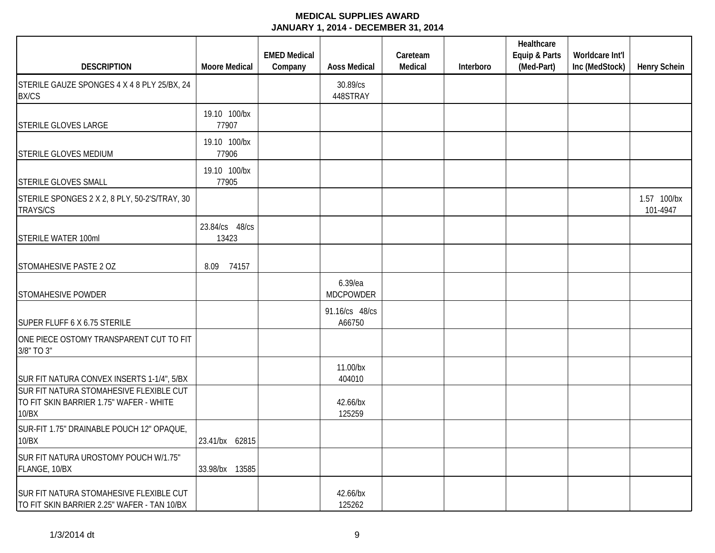|                                                                                             |                         | <b>EMED Medical</b> |                             | Careteam |           | Healthcare<br>Equip & Parts | Worldcare Int'l |                         |
|---------------------------------------------------------------------------------------------|-------------------------|---------------------|-----------------------------|----------|-----------|-----------------------------|-----------------|-------------------------|
| <b>DESCRIPTION</b>                                                                          | <b>Moore Medical</b>    | Company             | <b>Aoss Medical</b>         | Medical  | Interboro | (Med-Part)                  | Inc (MedStock)  | <b>Henry Schein</b>     |
| STERILE GAUZE SPONGES 4 X 4 8 PLY 25/BX, 24<br><b>BX/CS</b>                                 |                         |                     | 30.89/cs<br>448STRAY        |          |           |                             |                 |                         |
| <b>STERILE GLOVES LARGE</b>                                                                 | 19.10 100/bx<br>77907   |                     |                             |          |           |                             |                 |                         |
| STERILE GLOVES MEDIUM                                                                       | 19.10 100/bx<br>77906   |                     |                             |          |           |                             |                 |                         |
| <b>STERILE GLOVES SMALL</b>                                                                 | 19.10 100/bx<br>77905   |                     |                             |          |           |                             |                 |                         |
| STERILE SPONGES 2 X 2, 8 PLY, 50-2'S/TRAY, 30<br><b>TRAYS/CS</b>                            |                         |                     |                             |          |           |                             |                 | 1.57 100/bx<br>101-4947 |
| STERILE WATER 100ml                                                                         | 23.84/cs 48/cs<br>13423 |                     |                             |          |           |                             |                 |                         |
| STOMAHESIVE PASTE 2 OZ                                                                      | 74157<br>8.09           |                     |                             |          |           |                             |                 |                         |
| <b>STOMAHESIVE POWDER</b>                                                                   |                         |                     | 6.39/ea<br><b>MDCPOWDER</b> |          |           |                             |                 |                         |
| SUPER FLUFF 6 X 6.75 STERILE                                                                |                         |                     | 91.16/cs 48/cs<br>A66750    |          |           |                             |                 |                         |
| ONE PIECE OSTOMY TRANSPARENT CUT TO FIT<br>3/8" TO 3"                                       |                         |                     |                             |          |           |                             |                 |                         |
| SUR FIT NATURA CONVEX INSERTS 1-1/4", 5/BX                                                  |                         |                     | 11.00/bx<br>404010          |          |           |                             |                 |                         |
| SUR FIT NATURA STOMAHESIVE FLEXIBLE CUT<br>TO FIT SKIN BARRIER 1.75" WAFER - WHITE<br>10/BX |                         |                     | 42.66/bx<br>125259          |          |           |                             |                 |                         |
| SUR-FIT 1.75" DRAINABLE POUCH 12" OPAQUE,<br>10/BX                                          | 23.41/bx 62815          |                     |                             |          |           |                             |                 |                         |
| SUR FIT NATURA UROSTOMY POUCH W/1.75"<br>FLANGE, 10/BX                                      | 33.98/bx 13585          |                     |                             |          |           |                             |                 |                         |
| SUR FIT NATURA STOMAHESIVE FLEXIBLE CUT<br>TO FIT SKIN BARRIER 2.25" WAFER - TAN 10/BX      |                         |                     | 42.66/bx<br>125262          |          |           |                             |                 |                         |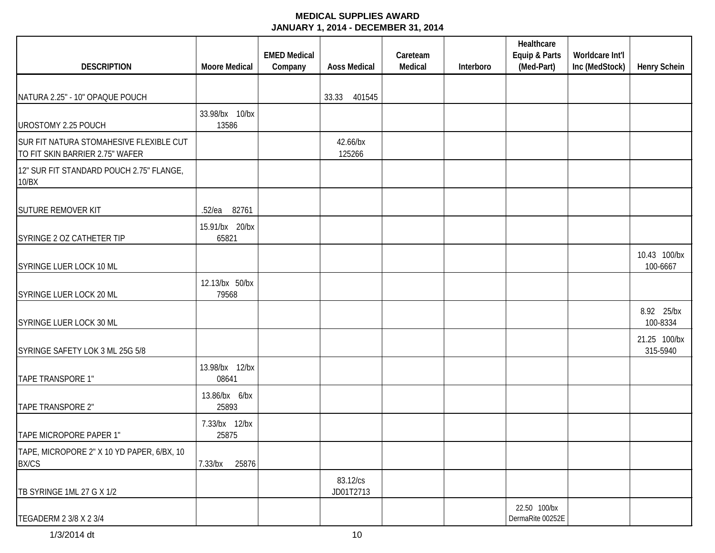|                                                                            |                         | <b>EMED Medical</b> |                       | Careteam |           | Healthcare<br>Equip & Parts      | Worldcare Int'l |                          |
|----------------------------------------------------------------------------|-------------------------|---------------------|-----------------------|----------|-----------|----------------------------------|-----------------|--------------------------|
| <b>DESCRIPTION</b>                                                         | <b>Moore Medical</b>    | Company             | <b>Aoss Medical</b>   | Medical  | Interboro | (Med-Part)                       | Inc (MedStock)  | <b>Henry Schein</b>      |
|                                                                            |                         |                     |                       |          |           |                                  |                 |                          |
| NATURA 2.25" - 10" OPAQUE POUCH                                            |                         |                     | 401545<br>33.33       |          |           |                                  |                 |                          |
| UROSTOMY 2.25 POUCH                                                        | 33.98/bx 10/bx<br>13586 |                     |                       |          |           |                                  |                 |                          |
| SUR FIT NATURA STOMAHESIVE FLEXIBLE CUT<br>TO FIT SKIN BARRIER 2.75" WAFER |                         |                     | 42.66/bx<br>125266    |          |           |                                  |                 |                          |
| 12" SUR FIT STANDARD POUCH 2.75" FLANGE,<br>10/BX                          |                         |                     |                       |          |           |                                  |                 |                          |
| <b>SUTURE REMOVER KIT</b>                                                  | 82761<br>$.52$ /ea      |                     |                       |          |           |                                  |                 |                          |
| SYRINGE 2 OZ CATHETER TIP                                                  | 15.91/bx 20/bx<br>65821 |                     |                       |          |           |                                  |                 |                          |
| SYRINGE LUER LOCK 10 ML                                                    |                         |                     |                       |          |           |                                  |                 | 10.43 100/bx<br>100-6667 |
| SYRINGE LUER LOCK 20 ML                                                    | 12.13/bx 50/bx<br>79568 |                     |                       |          |           |                                  |                 |                          |
| SYRINGE LUER LOCK 30 ML                                                    |                         |                     |                       |          |           |                                  |                 | 8.92 25/bx<br>100-8334   |
| SYRINGE SAFETY LOK 3 ML 25G 5/8                                            |                         |                     |                       |          |           |                                  |                 | 21.25 100/bx<br>315-5940 |
| TAPE TRANSPORE 1"                                                          | 13.98/bx 12/bx<br>08641 |                     |                       |          |           |                                  |                 |                          |
| TAPE TRANSPORE 2"                                                          | 13.86/bx 6/bx<br>25893  |                     |                       |          |           |                                  |                 |                          |
| TAPE MICROPORE PAPER 1"                                                    | 7.33/bx 12/bx<br>25875  |                     |                       |          |           |                                  |                 |                          |
| TAPE, MICROPORE 2" X 10 YD PAPER, 6/BX, 10<br><b>BX/CS</b>                 | 7.33/bx<br>25876        |                     |                       |          |           |                                  |                 |                          |
| TB SYRINGE 1ML 27 G X 1/2                                                  |                         |                     | 83.12/cs<br>JD01T2713 |          |           |                                  |                 |                          |
| TEGADERM 2 3/8 X 2 3/4                                                     |                         |                     |                       |          |           | 22.50 100/bx<br>DermaRite 00252E |                 |                          |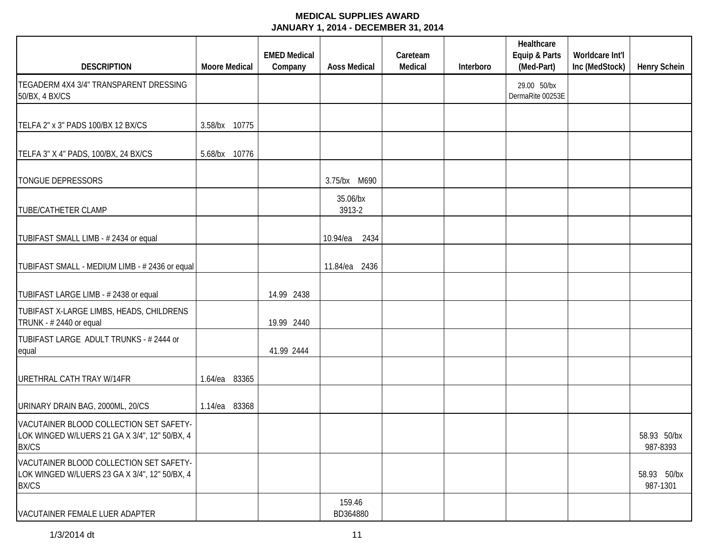|                                                                                                          |                      | <b>EMED Medical</b> |                     | Careteam |           | Healthcare<br>Equip & Parts     | Worldcare Int'l |                         |
|----------------------------------------------------------------------------------------------------------|----------------------|---------------------|---------------------|----------|-----------|---------------------------------|-----------------|-------------------------|
| <b>DESCRIPTION</b>                                                                                       | <b>Moore Medical</b> | Company             | <b>Aoss Medical</b> | Medical  | Interboro | (Med-Part)                      | Inc (MedStock)  | <b>Henry Schein</b>     |
| TEGADERM 4X4 3/4" TRANSPARENT DRESSING<br>50/BX, 4 BX/CS                                                 |                      |                     |                     |          |           | 29.00 50/bx<br>DermaRite 00253E |                 |                         |
| TELFA 2" x 3" PADS 100/BX 12 BX/CS                                                                       | 3.58/bx 10775        |                     |                     |          |           |                                 |                 |                         |
| TELFA 3" X 4" PADS, 100/BX, 24 BX/CS                                                                     | 5.68/bx 10776        |                     |                     |          |           |                                 |                 |                         |
| <b>TONGUE DEPRESSORS</b>                                                                                 |                      |                     | 3.75/bx M690        |          |           |                                 |                 |                         |
| <b>TUBE/CATHETER CLAMP</b>                                                                               |                      |                     | 35.06/bx<br>3913-2  |          |           |                                 |                 |                         |
| TUBIFAST SMALL LIMB - # 2434 or equal                                                                    |                      |                     | 10.94/ea<br>2434    |          |           |                                 |                 |                         |
| TUBIFAST SMALL - MEDIUM LIMB - # 2436 or equal                                                           |                      |                     | 11.84/ea 2436       |          |           |                                 |                 |                         |
| TUBIFAST LARGE LIMB - # 2438 or equal                                                                    |                      | 14.99 2438          |                     |          |           |                                 |                 |                         |
| TUBIFAST X-LARGE LIMBS, HEADS, CHILDRENS<br>TRUNK - #2440 or equal                                       |                      | 19.99 2440          |                     |          |           |                                 |                 |                         |
| TUBIFAST LARGE ADULT TRUNKS - # 2444 or<br>equal                                                         |                      | 41.99 2444          |                     |          |           |                                 |                 |                         |
| URETHRAL CATH TRAY W/14FR                                                                                | 83365<br>$1.64$ /ea  |                     |                     |          |           |                                 |                 |                         |
| URINARY DRAIN BAG, 2000ML, 20/CS                                                                         | 83368<br>1.14/ea     |                     |                     |          |           |                                 |                 |                         |
| VACUTAINER BLOOD COLLECTION SET SAFETY-<br>LOK WINGED W/LUERS 21 GA X 3/4", 12" 50/BX, 4<br><b>BX/CS</b> |                      |                     |                     |          |           |                                 |                 | 58.93 50/bx<br>987-8393 |
| VACUTAINER BLOOD COLLECTION SET SAFETY-<br>LOK WINGED W/LUERS 23 GA X 3/4", 12" 50/BX, 4<br><b>BX/CS</b> |                      |                     |                     |          |           |                                 |                 | 58.93 50/bx<br>987-1301 |
| VACUTAINER FEMALE LUER ADAPTER                                                                           |                      |                     | 159.46<br>BD364880  |          |           |                                 |                 |                         |